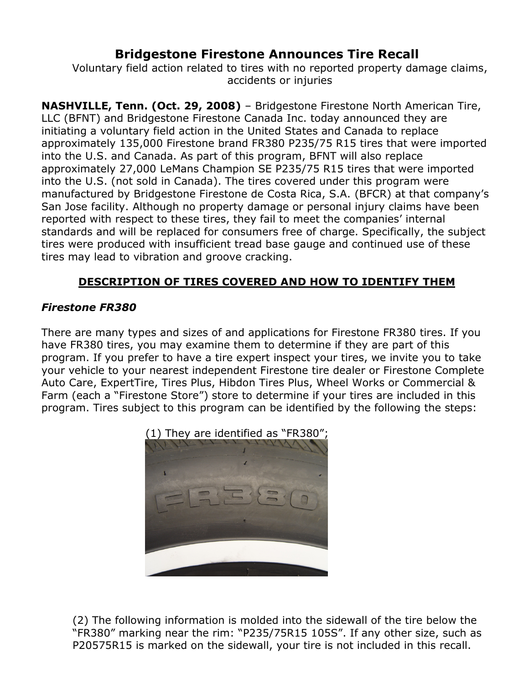# Bridgestone Firestone Announces Tire Recall

Voluntary field action related to tires with no reported property damage claims, accidents or injuries

NASHVILLE, Tenn. (Oct. 29, 2008) – Bridgestone Firestone North American Tire, LLC (BFNT) and Bridgestone Firestone Canada Inc. today announced they are initiating a voluntary field action in the United States and Canada to replace approximately 135,000 Firestone brand FR380 P235/75 R15 tires that were imported into the U.S. and Canada. As part of this program, BFNT will also replace approximately 27,000 LeMans Champion SE P235/75 R15 tires that were imported into the U.S. (not sold in Canada). The tires covered under this program were manufactured by Bridgestone Firestone de Costa Rica, S.A. (BFCR) at that company's San Jose facility. Although no property damage or personal injury claims have been reported with respect to these tires, they fail to meet the companies' internal standards and will be replaced for consumers free of charge. Specifically, the subject tires were produced with insufficient tread base gauge and continued use of these tires may lead to vibration and groove cracking.

# DESCRIPTION OF TIRES COVERED AND HOW TO IDENTIFY THEM

# Firestone FR380

There are many types and sizes of and applications for Firestone FR380 tires. If you have FR380 tires, you may examine them to determine if they are part of this program. If you prefer to have a tire expert inspect your tires, we invite you to take your vehicle to your nearest independent Firestone tire dealer or Firestone Complete Auto Care, ExpertTire, Tires Plus, Hibdon Tires Plus, Wheel Works or Commercial & Farm (each a "Firestone Store") store to determine if your tires are included in this program. Tires subject to this program can be identified by the following the steps:



(2) The following information is molded into the sidewall of the tire below the "FR380" marking near the rim: "P235/75R15 105S". If any other size, such as P20575R15 is marked on the sidewall, your tire is not included in this recall.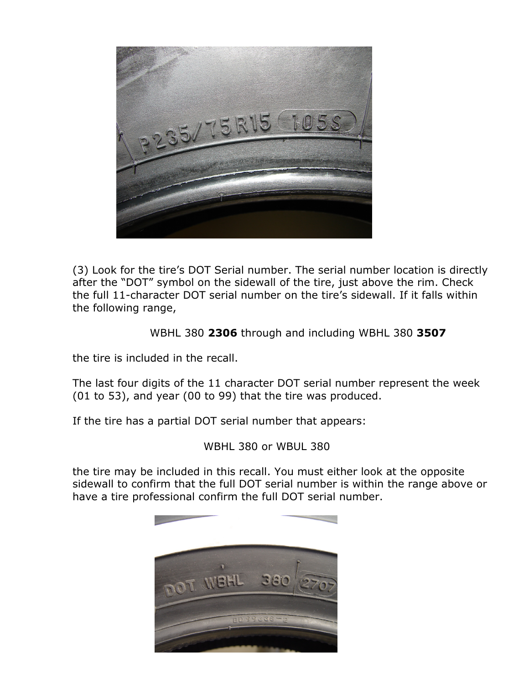

(3) Look for the tire's DOT Serial number. The serial number location is directly after the "DOT" symbol on the sidewall of the tire, just above the rim. Check the full 11-character DOT serial number on the tire's sidewall. If it falls within the following range,

WBHL 380 2306 through and including WBHL 380 3507

the tire is included in the recall.

The last four digits of the 11 character DOT serial number represent the week (01 to 53), and year (00 to 99) that the tire was produced.

If the tire has a partial DOT serial number that appears:

WBHL 380 or WBUL 380

the tire may be included in this recall. You must either look at the opposite sidewall to confirm that the full DOT serial number is within the range above or have a tire professional confirm the full DOT serial number.

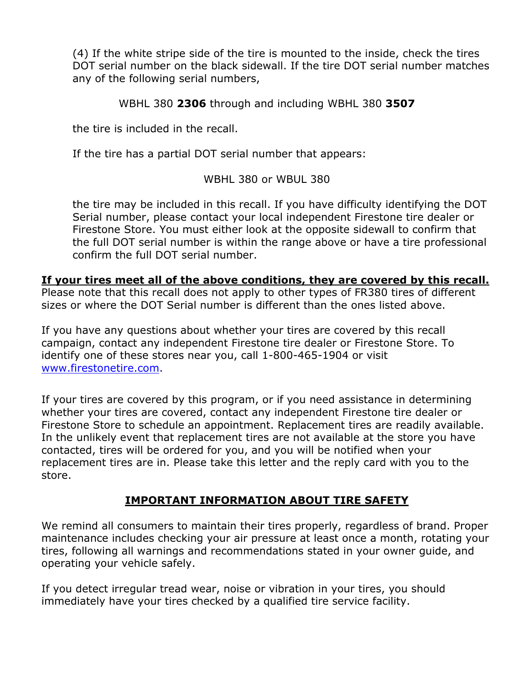(4) If the white stripe side of the tire is mounted to the inside, check the tires DOT serial number on the black sidewall. If the tire DOT serial number matches any of the following serial numbers,

WBHL 380 2306 through and including WBHL 380 3507

the tire is included in the recall.

If the tire has a partial DOT serial number that appears:

WBHL 380 or WBUL 380

the tire may be included in this recall. If you have difficulty identifying the DOT Serial number, please contact your local independent Firestone tire dealer or Firestone Store. You must either look at the opposite sidewall to confirm that the full DOT serial number is within the range above or have a tire professional confirm the full DOT serial number.

#### If your tires meet all of the above conditions, they are covered by this recall.

Please note that this recall does not apply to other types of FR380 tires of different sizes or where the DOT Serial number is different than the ones listed above.

If you have any questions about whether your tires are covered by this recall campaign, contact any independent Firestone tire dealer or Firestone Store. To identify one of these stores near you, call 1-800-465-1904 or visit www.firestonetire.com.

If your tires are covered by this program, or if you need assistance in determining whether your tires are covered, contact any independent Firestone tire dealer or Firestone Store to schedule an appointment. Replacement tires are readily available. In the unlikely event that replacement tires are not available at the store you have contacted, tires will be ordered for you, and you will be notified when your replacement tires are in. Please take this letter and the reply card with you to the store.

## IMPORTANT INFORMATION ABOUT TIRE SAFETY

We remind all consumers to maintain their tires properly, regardless of brand. Proper maintenance includes checking your air pressure at least once a month, rotating your tires, following all warnings and recommendations stated in your owner guide, and operating your vehicle safely.

If you detect irregular tread wear, noise or vibration in your tires, you should immediately have your tires checked by a qualified tire service facility.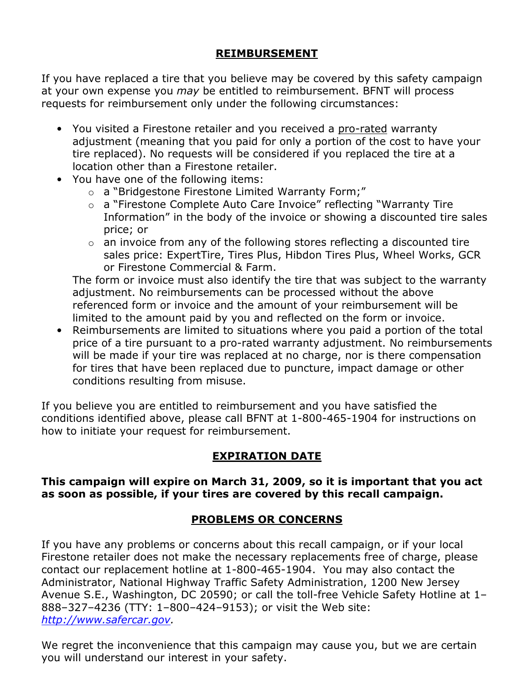## REIMBURSEMENT

If you have replaced a tire that you believe may be covered by this safety campaign at your own expense you *may* be entitled to reimbursement. BFNT will process requests for reimbursement only under the following circumstances:

- You visited a Firestone retailer and you received a pro-rated warranty adjustment (meaning that you paid for only a portion of the cost to have your tire replaced). No requests will be considered if you replaced the tire at a location other than a Firestone retailer.
- You have one of the following items:
	- o a "Bridgestone Firestone Limited Warranty Form;"
	- o a "Firestone Complete Auto Care Invoice" reflecting "Warranty Tire Information" in the body of the invoice or showing a discounted tire sales price; or
	- $\circ$  an invoice from any of the following stores reflecting a discounted tire sales price: ExpertTire, Tires Plus, Hibdon Tires Plus, Wheel Works, GCR or Firestone Commercial & Farm.

The form or invoice must also identify the tire that was subject to the warranty adjustment. No reimbursements can be processed without the above referenced form or invoice and the amount of your reimbursement will be limited to the amount paid by you and reflected on the form or invoice.

• Reimbursements are limited to situations where you paid a portion of the total price of a tire pursuant to a pro-rated warranty adjustment. No reimbursements will be made if your tire was replaced at no charge, nor is there compensation for tires that have been replaced due to puncture, impact damage or other conditions resulting from misuse.

If you believe you are entitled to reimbursement and you have satisfied the conditions identified above, please call BFNT at 1-800-465-1904 for instructions on how to initiate your request for reimbursement.

# EXPIRATION DATE

#### This campaign will expire on March 31, 2009, so it is important that you act as soon as possible, if your tires are covered by this recall campaign.

# PROBLEMS OR CONCERNS

If you have any problems or concerns about this recall campaign, or if your local Firestone retailer does not make the necessary replacements free of charge, please contact our replacement hotline at 1-800-465-1904. You may also contact the Administrator, National Highway Traffic Safety Administration, 1200 New Jersey Avenue S.E., Washington, DC 20590; or call the toll-free Vehicle Safety Hotline at 1– 888–327–4236 (TTY: 1–800–424–9153); or visit the Web site: http://www.safercar.gov.

We regret the inconvenience that this campaign may cause you, but we are certain you will understand our interest in your safety.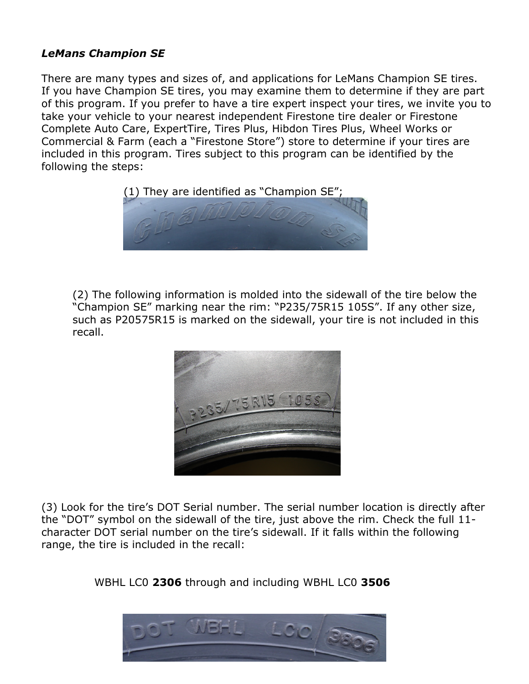## LeMans Champion SE

There are many types and sizes of, and applications for LeMans Champion SE tires. If you have Champion SE tires, you may examine them to determine if they are part of this program. If you prefer to have a tire expert inspect your tires, we invite you to take your vehicle to your nearest independent Firestone tire dealer or Firestone Complete Auto Care, ExpertTire, Tires Plus, Hibdon Tires Plus, Wheel Works or Commercial & Farm (each a "Firestone Store") store to determine if your tires are included in this program. Tires subject to this program can be identified by the following the steps:



(2) The following information is molded into the sidewall of the tire below the "Champion SE" marking near the rim: "P235/75R15 105S". If any other size, such as P20575R15 is marked on the sidewall, your tire is not included in this recall.



(3) Look for the tire's DOT Serial number. The serial number location is directly after the "DOT" symbol on the sidewall of the tire, just above the rim. Check the full 11 character DOT serial number on the tire's sidewall. If it falls within the following range, the tire is included in the recall:

WBHL LC0 2306 through and including WBHL LC0 3506

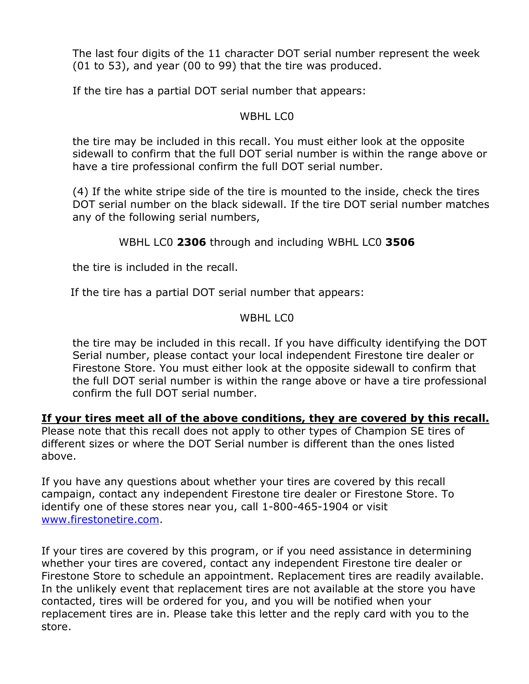The last four digits of the 11 character DOT serial number represent the week (01 to 53), and year (00 to 99) that the tire was produced.

If the tire has a partial DOT serial number that appears:

#### WBHL LCO

the tire may be included in this recall. You must either look at the opposite sidewall to confirm that the full DOT serial number is within the range above or have a tire professional confirm the full DOT serial number.

(4) If the white stripe side of the tire is mounted to the inside, check the tires DOT serial number on the black sidewall. If the tire DOT serial number matches any of the following serial numbers,

## WBHL LC0 2306 through and including WBHL LC0 3506

the tire is included in the recall.

If the tire has a partial DOT serial number that appears:

## WBHL LCO

the tire may be included in this recall. If you have difficulty identifying the DOT Serial number, please contact your local independent Firestone tire dealer or Firestone Store. You must either look at the opposite sidewall to confirm that the full DOT serial number is within the range above or have a tire professional confirm the full DOT serial number.

If your tires meet all of the above conditions, they are covered by this recall. Please note that this recall does not apply to other types of Champion SE tires of different sizes or where the DOT Serial number is different than the ones listed above.

If you have any questions about whether your tires are covered by this recall campaign, contact any independent Firestone tire dealer or Firestone Store. To identify one of these stores near you, call 1-800-465-1904 or visit www.firestonetire.com.

If your tires are covered by this program, or if you need assistance in determining whether your tires are covered, contact any independent Firestone tire dealer or Firestone Store to schedule an appointment. Replacement tires are readily available. In the unlikely event that replacement tires are not available at the store you have contacted, tires will be ordered for you, and you will be notified when your replacement tires are in. Please take this letter and the reply card with you to the store.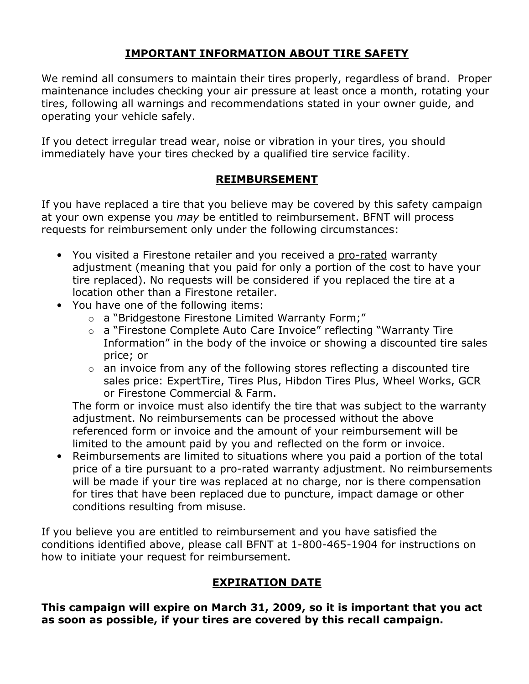# IMPORTANT INFORMATION ABOUT TIRE SAFETY

We remind all consumers to maintain their tires properly, regardless of brand. Proper maintenance includes checking your air pressure at least once a month, rotating your tires, following all warnings and recommendations stated in your owner guide, and operating your vehicle safely.

If you detect irregular tread wear, noise or vibration in your tires, you should immediately have your tires checked by a qualified tire service facility.

## REIMBURSEMENT

If you have replaced a tire that you believe may be covered by this safety campaign at your own expense you *may* be entitled to reimbursement. BFNT will process requests for reimbursement only under the following circumstances:

- You visited a Firestone retailer and you received a pro-rated warranty adjustment (meaning that you paid for only a portion of the cost to have your tire replaced). No requests will be considered if you replaced the tire at a location other than a Firestone retailer.
- You have one of the following items:
	- o a "Bridgestone Firestone Limited Warranty Form;"
	- o a "Firestone Complete Auto Care Invoice" reflecting "Warranty Tire Information" in the body of the invoice or showing a discounted tire sales price; or
	- $\circ$  an invoice from any of the following stores reflecting a discounted tire sales price: ExpertTire, Tires Plus, Hibdon Tires Plus, Wheel Works, GCR or Firestone Commercial & Farm.

The form or invoice must also identify the tire that was subject to the warranty adjustment. No reimbursements can be processed without the above referenced form or invoice and the amount of your reimbursement will be limited to the amount paid by you and reflected on the form or invoice.

• Reimbursements are limited to situations where you paid a portion of the total price of a tire pursuant to a pro-rated warranty adjustment. No reimbursements will be made if your tire was replaced at no charge, nor is there compensation for tires that have been replaced due to puncture, impact damage or other conditions resulting from misuse.

If you believe you are entitled to reimbursement and you have satisfied the conditions identified above, please call BFNT at 1-800-465-1904 for instructions on how to initiate your request for reimbursement.

# EXPIRATION DATE

This campaign will expire on March 31, 2009, so it is important that you act as soon as possible, if your tires are covered by this recall campaign.